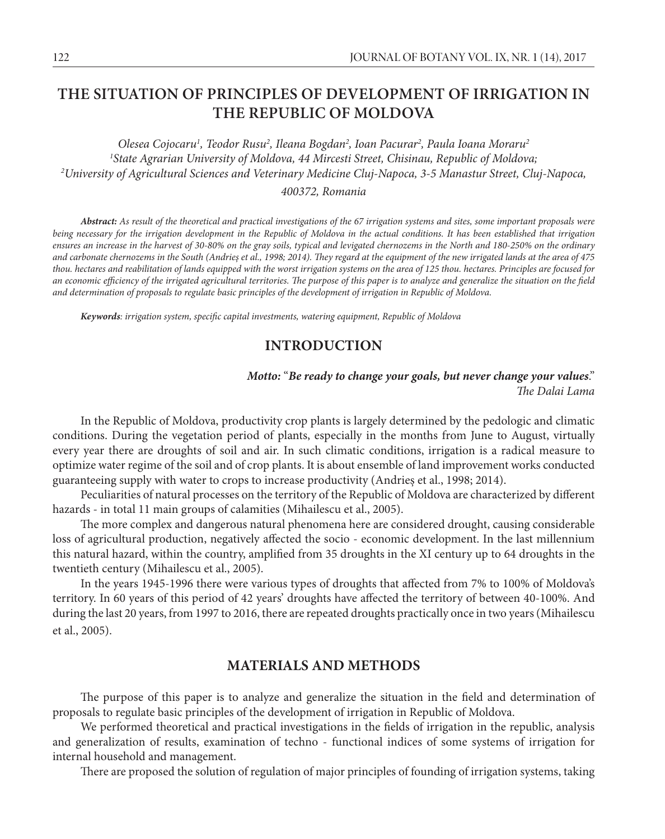# **THE SITUATION OF PRINCIPLES OF DEVELOPMENT OF IRRIGATION IN THE REPUBLIC OF MOLDOVA**

Olesea Cojocaru<sup>1</sup>, Teodor Rusu<sup>2</sup>, Ileana Bogdan<sup>2</sup>, Ioan Pacurar<sup>2</sup>, Paula Ioana Moraru<sup>2</sup> *1 State Agrarian University of Moldova, 44 Mircesti Street, Chisinau, Republic of Moldova; 2 University of Agricultural Sciences and Veterinary Medicine Cluj-Napoca, 3-5 Manastur Street, Cluj-Napoca, 400372, Romania*

*Abstract: As result of the theoretical and practical investigations of the 67 irrigation systems and sites, some important proposals were being necessary for the irrigation development in the Republic of Moldova in the actual conditions. It has been established that irrigation ensures an increase in the harvest of 30-80% on the gray soils, typical and levigated chernozems in the North and 180-250% on the ordinary and carbonate chernozems in the South (Andrieș et al., 1998; 2014). They regard at the equipment of the new irrigated lands at the area of 475 thou. hectares and reabilitation of lands equipped with the worst irrigation systems on the area of 125 thou. hectares. Principles are focused for an economic efficiency of the irrigated agricultural territories. The purpose of this paper is to analyze and generalize the situation on the field and determination of proposals to regulate basic principles of the development of irrigation in Republic of Moldova.*

*Keywords: irrigation system, specific capital investments, watering equipment, Republic of Moldova*

## **INTRODUCTION**

### *Motto:* "*Be ready to change your goals, but never change your values*." *The Dalai Lama*

In the Republic of Moldova, productivity crop plants is largely determined by the pedologic and climatic conditions. During the vegetation period of plants, especially in the months from June to August, virtually every year there are droughts of soil and air. In such climatic conditions, irrigation is a radical measure to optimize water regime of the soil and of crop plants. It is about ensemble of land improvement works conducted guaranteeing supply with water to crops to increase productivity (Andrieș et al., 1998; 2014).

Peculiarities of natural processes on the territory of the Republic of Moldova are characterized by different hazards - in total 11 main groups of calamities (Mihailescu et al., 2005).

The more complex and dangerous natural phenomena here are considered drought, causing considerable loss of agricultural production, negatively affected the socio - economic development. In the last millennium this natural hazard, within the country, amplified from 35 droughts in the XI century up to 64 droughts in the twentieth century (Mihailescu et al., 2005).

In the years 1945-1996 there were various types of droughts that affected from 7% to 100% of Moldova's territory. In 60 years of this period of 42 years' droughts have affected the territory of between 40-100%. And during the last 20 years, from 1997 to 2016, there are repeated droughts practically once in two years (Mihailescu et al., 2005).

## **MATERIALS AND METHODS**

The purpose of this paper is to analyze and generalize the situation in the field and determination of proposals to regulate basic principles of the development of irrigation in Republic of Moldova.

We performed theoretical and practical investigations in the fields of irrigation in the republic, analysis and generalization of results, examination of techno - functional indices of some systems of irrigation for internal household and management.

There are proposed the solution of regulation of major principles of founding of irrigation systems, taking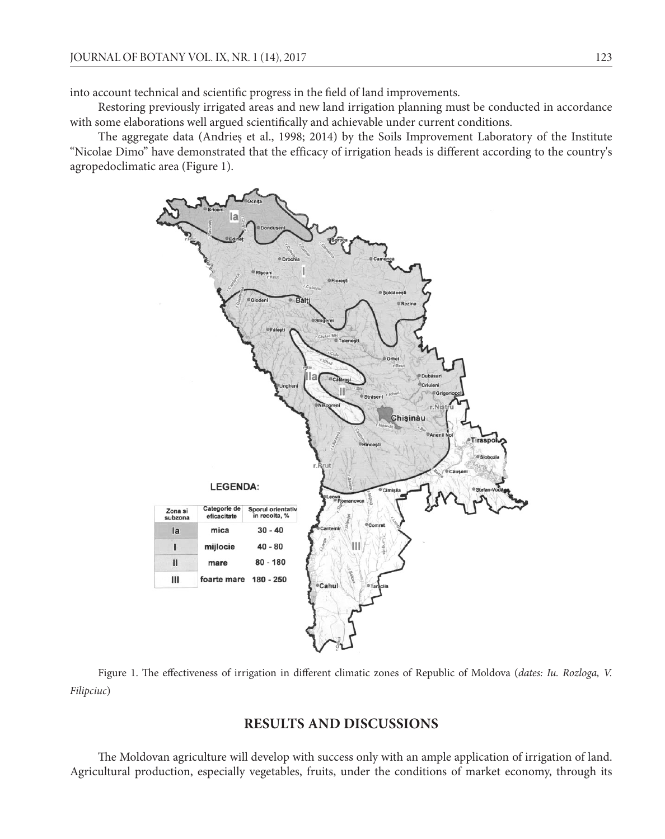into account technical and scientific progress in the field of land improvements.

Restoring previously irrigated areas and new land irrigation planning must be conducted in accordance with some elaborations well argued scientifically and achievable under current conditions.

The aggregate data (Andrieș et al., 1998; 2014) by the Soils Improvement Laboratory of the Institute "Nicolae Dimo" have demonstrated that the efficacy of irrigation heads is different according to the country's agropedoclimatic area (Figure 1).



Figure 1. The effectiveness of irrigation in different climatic zones of Republic of Moldova (*dates: Iu. Rozloga, V. Filipciuc*)

## **RESULTS AND DISCUSSIONS**

The Moldovan agriculture will develop with success only with an ample application of irrigation of land. Agricultural production, especially vegetables, fruits, under the conditions of market economy, through its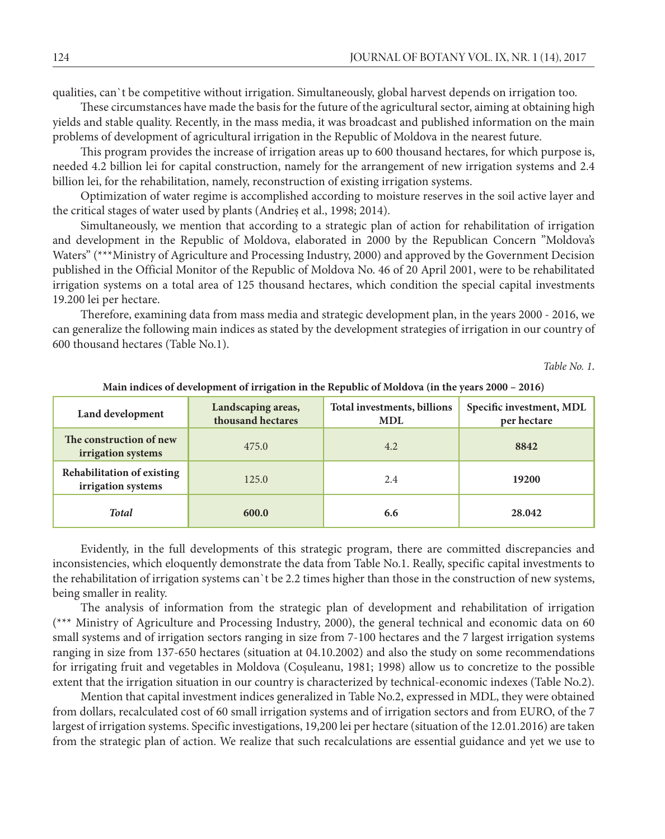qualities, can`t be competitive without irrigation. Simultaneously, global harvest depends on irrigation too.

These circumstances have made the basis for the future of the agricultural sector, aiming at obtaining high yields and stable quality. Recently, in the mass media, it was broadcast and published information on the main problems of development of agricultural irrigation in the Republic of Moldova in the nearest future.

This program provides the increase of irrigation areas up to 600 thousand hectares, for which purpose is, needed 4.2 billion lei for capital construction, namely for the arrangement of new irrigation systems and 2.4 billion lei, for the rehabilitation, namely, reconstruction of existing irrigation systems.

Optimization of water regime is accomplished according to moisture reserves in the soil active layer and the critical stages of water used by plants (Andrieș et al., 1998; 2014).

Simultaneously, we mention that according to a strategic plan of action for rehabilitation of irrigation and development in the Republic of Moldova, elaborated in 2000 by the Republican Concern "Moldova's Waters" (\*\*\*Ministry of Agriculture and Processing Industry, 2000) and approved by the Government Decision published in the Official Monitor of the Republic of Moldova No. 46 of 20 April 2001, were to be rehabilitated irrigation systems on a total area of 125 thousand hectares, which condition the special capital investments 19.200 lei per hectare.

Therefore, examining data from mass media and strategic development plan, in the years 2000 - 2016, we can generalize the following main indices as stated by the development strategies of irrigation in our country of 600 thousand hectares (Table No.1).

*Table No. 1*.

| Land development                                 | Landscaping areas,<br>thousand hectares | Total investments, billions<br><b>MDL</b> | Specific investment, MDL<br>per hectare |
|--------------------------------------------------|-----------------------------------------|-------------------------------------------|-----------------------------------------|
| The construction of new<br>irrigation systems    | 475.0                                   | 4.2                                       | 8842                                    |
| Rehabilitation of existing<br>irrigation systems | 125.0                                   | 2.4                                       | 19200                                   |
| <b>Total</b>                                     | 600.0                                   | 6.6                                       | 28.042                                  |

**Main indices of development of irrigation in the Republic of Moldova (in the years 2000 – 2016)**

Evidently, in the full developments of this strategic program, there are committed discrepancies and inconsistencies, which eloquently demonstrate the data from Table No.1. Really, specific capital investments to the rehabilitation of irrigation systems can`t be 2.2 times higher than those in the construction of new systems, being smaller in reality.

The analysis of information from the strategic plan of development and rehabilitation of irrigation (\*\*\* Ministry of Agriculture and Processing Industry, 2000), the general technical and economic data on 60 small systems and of irrigation sectors ranging in size from 7-100 hectares and the 7 largest irrigation systems ranging in size from 137-650 hectares (situation at 04.10.2002) and also the study on some recommendations for irrigating fruit and vegetables in Moldova (Coşuleanu, 1981; 1998) allow us to concretize to the possible extent that the irrigation situation in our country is characterized by technical-economic indexes (Table No.2).

Mention that capital investment indices generalized in Table No.2, expressed in MDL, they were obtained from dollars, recalculated cost of 60 small irrigation systems and of irrigation sectors and from EURO, of the 7 largest of irrigation systems. Specific investigations, 19,200 lei per hectare (situation of the 12.01.2016) are taken from the strategic plan of action. We realize that such recalculations are essential guidance and yet we use to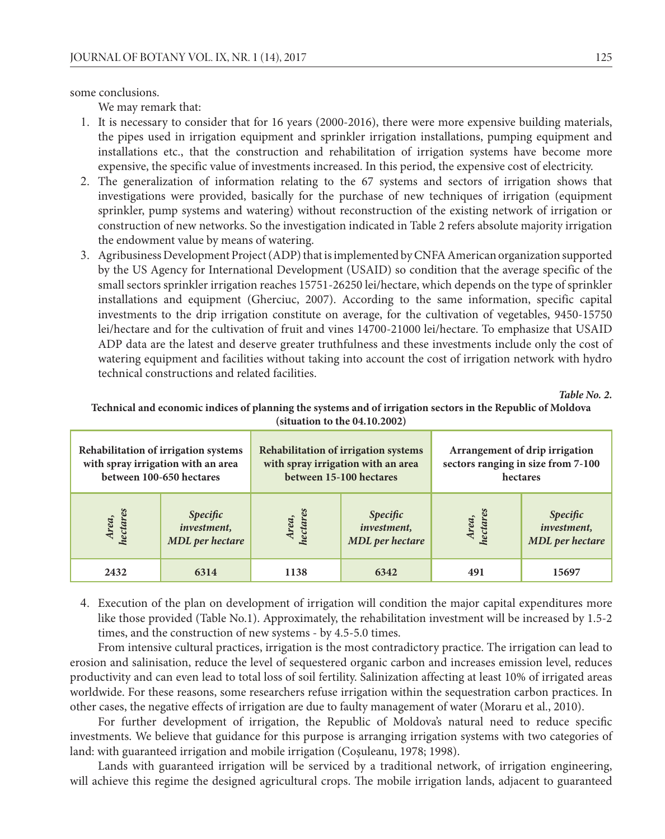some conclusions.

We may remark that:

- 1. It is necessary to consider that for 16 years (2000-2016), there were more expensive building materials, the pipes used in irrigation equipment and sprinkler irrigation installations, pumping equipment and installations etc., that the construction and rehabilitation of irrigation systems have become more expensive, the specific value of investments increased. In this period, the expensive cost of electricity.
- 2. The generalization of information relating to the 67 systems and sectors of irrigation shows that investigations were provided, basically for the purchase of new techniques of irrigation (equipment sprinkler, pump systems and watering) without reconstruction of the existing network of irrigation or construction of new networks. So the investigation indicated in Table 2 refers absolute majority irrigation the endowment value by means of watering.
- 3. Agribusiness Development Project (ADP) that is implemented by CNFA American organization supported by the US Agency for International Development (USAID) so condition that the average specific of the small sectors sprinkler irrigation reaches 15751-26250 lei/hectare, which depends on the type of sprinkler installations and equipment (Gherciuc, 2007). According to the same information, specific capital investments to the drip irrigation constitute on average, for the cultivation of vegetables, 9450-15750 lei/hectare and for the cultivation of fruit and vines 14700-21000 lei/hectare. To emphasize that USAID ADP data are the latest and deserve greater truthfulness and these investments include only the cost of watering equipment and facilities without taking into account the cost of irrigation network with hydro technical constructions and related facilities.

*Table No. 2.* 

| Rehabilitation of irrigation systems<br>with spray irrigation with an area<br>between 100-650 hectares |                                                           | Rehabilitation of irrigation systems<br>with spray irrigation with an area<br>between 15-100 hectares |                                                                  | Arrangement of drip irrigation<br>sectors ranging in size from 7-100<br>hectares |                                                          |
|--------------------------------------------------------------------------------------------------------|-----------------------------------------------------------|-------------------------------------------------------------------------------------------------------|------------------------------------------------------------------|----------------------------------------------------------------------------------|----------------------------------------------------------|
| Area,<br>hectares                                                                                      | <i>Specific</i><br><i>investment</i> ,<br>MDL per hectare | hectares<br>Area,                                                                                     | <b>Specific</b><br><i>investment</i> ,<br><b>MDL</b> per hectare | Area,<br>hectares                                                                | <i>Specific</i><br>investment,<br><b>MDL</b> per hectare |
| 2432                                                                                                   | 6314                                                      | 1138                                                                                                  | 6342                                                             | 491                                                                              | 15697                                                    |

#### **Technical and economic indices of planning the systems and of irrigation sectors in the Republic of Moldova (situation to the 04.10.2002)**

4. Execution of the plan on development of irrigation will condition the major capital expenditures more like those provided (Table No.1). Approximately, the rehabilitation investment will be increased by 1.5-2 times, and the construction of new systems - by 4.5-5.0 times.

From intensive cultural practices, irrigation is the most contradictory practice. The irrigation can lead to erosion and salinisation, reduce the level of sequestered organic carbon and increases emission level, reduces productivity and can even lead to total loss of soil fertility. Salinization affecting at least 10% of irrigated areas worldwide. For these reasons, some researchers refuse irrigation within the sequestration carbon practices. In other cases, the negative effects of irrigation are due to faulty management of water (Moraru et al., 2010).

For further development of irrigation, the Republic of Moldova's natural need to reduce specific investments. We believe that guidance for this purpose is arranging irrigation systems with two categories of land: with guaranteed irrigation and mobile irrigation (Coşuleanu, 1978; 1998).

Lands with guaranteed irrigation will be serviced by a traditional network, of irrigation engineering, will achieve this regime the designed agricultural crops. The mobile irrigation lands, adjacent to guaranteed